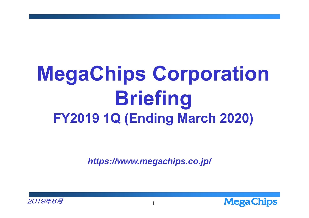## **MegaChips Corporation Briefing FY2019 1Q (Ending March 2020)**

*https://www.megachips.co.jp/*



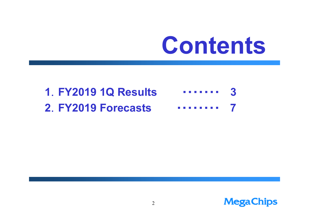# **Contents**

#### **1**.**FY2019 1Q Results** ・・・・・・・ **3 2**.**FY2019 Forecasts** ・・・・・・・・**7**

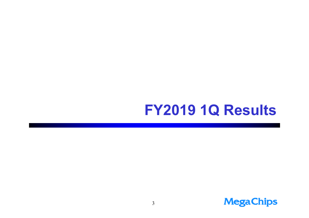### FY2019 1Q Results

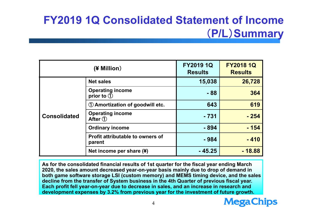### **FY2019 1Q Consolidated Statement of Income** (**P/L**)**Summary**

| (¥ Million)         |                                                                   | <b>FY2019 1Q</b><br><b>Results</b> | <b>FY2018 1Q</b><br><b>Results</b> |
|---------------------|-------------------------------------------------------------------|------------------------------------|------------------------------------|
| <b>Consolidated</b> | <b>Net sales</b>                                                  | 15,038                             | 26,728                             |
|                     | <b>Operating income</b><br>prior to $\circled{1}$                 | $-88$                              | 364                                |
|                     | $\mathrm{\mathrm{\textcircled{1}}}$ Amortization of goodwill etc. | 643                                | 619                                |
|                     | <b>Operating income</b><br>After $(1)$                            | $-731$                             | $-254$                             |
|                     | <b>Ordinary income</b>                                            | - 894                              | $-154$                             |
|                     | <b>Profit attributable to owners of</b><br>parent                 | $-984$                             | $-410$                             |
|                     | Net income per share (¥)                                          | $-45.25$                           | $-18.88$                           |

**As for the consolidated financial results of 1st quarter for the fiscal year ending March 2020, the sales amount decreased year-on-year basis mainly due to drop of demand in both game software storage LSI (custom memory) and MEMS timing device, and the sales decline from the transfer of System business in the 4th Quarter of previous fiscal year. Each profit fell year-on-year due to decrease in sales, and an increase in research and development expenses by 3.2% from previous year for the investment of future growth.**

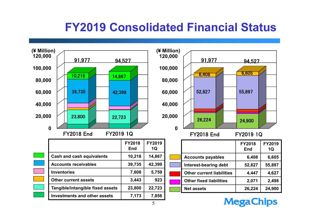### **FY2019 Consolidated Financial Status**



**MegaChips**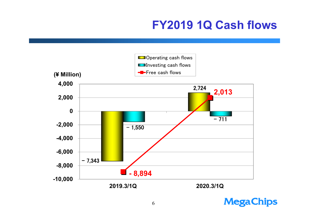### **FY2019 1Q Cash flows**



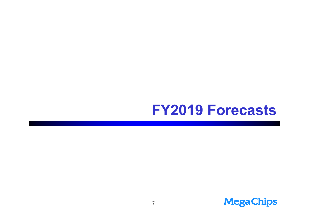### **FY2019 Forecasts**

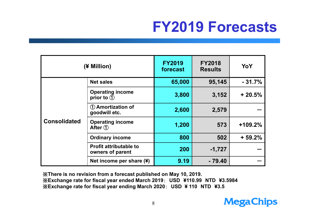## **FY2019 Forecasts**

| (¥ Million)         |                                                    | <b>FY2019</b><br>forecast | <b>FY2018</b><br><b>Results</b> | YoY       |
|---------------------|----------------------------------------------------|---------------------------|---------------------------------|-----------|
| <b>Consolidated</b> | <b>Net sales</b>                                   | 65,000                    | 95,145                          | $-31.7%$  |
|                     | <b>Operating income</b><br>prior to $\overline{1}$ | 3,800                     | 3,152                           | $+20.5%$  |
|                     | <b>1</b> Amortization of<br>goodwill etc.          | 2,600                     | 2,579                           |           |
|                     | <b>Operating income</b><br>After $(1)$             | 1,200                     | 573                             | $+109.2%$ |
|                     | <b>Ordinary income</b>                             | 800                       | 502                             | $+59.2%$  |
|                     | <b>Profit attributable to</b><br>owners of parent  | 200                       | $-1,727$                        |           |
|                     | Net income per share (¥)                           | 9.19                      | $-79.40$                        |           |

※**There is no revision from a forecast published on May 10, 2019.** ※**Exchange rate for fiscal year ended March 2019**: **USD ¥110.99 NTD ¥3.5984** ※**Exchange rate for fiscal year ending March 2020**: **USD ¥ 110 NTD ¥3.5**

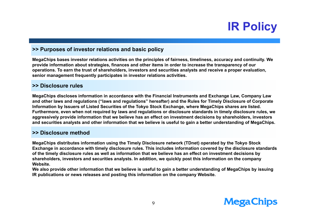### **IR Policy**

#### **>> Purposes of investor relations and basic policy**

**MegaChips bases investor relations activities on the principles of fairness, timeliness, accuracy and continuity. We provide information about strategies, finances and other items in order to increase the transparency of our operations. To earn the trust of shareholders, investors and securities analysts and receive a proper evaluation, senior management frequently participates in investor relations activities.** 

#### **>> Disclosure rules**

**MegaChips discloses information in accordance with the Financial Instruments and Exchange Law, Company Law and other laws and regulations ("laws and regulations" hereafter) and the Rules for Timely Disclosure of Corporate Information by Issuers of Listed Securities of the Tokyo Stock Exchange, where MegaChips shares are listed. Furthermore, even when not required by laws and regulations or disclosure standards in timely disclosure rules, we aggressively provide information that we believe has an effect on investment decisions by shareholders, investors and securities analysts and other information that we believe is useful to gain a better understanding of MegaChips.**

#### **>> Disclosure method**

**MegaChips distributes information using the Timely Disclosure network (TDnet) operated by the Tokyo Stock Exchange in accordance with timely disclosure rules. This includes information covered by the disclosure standards of the timely disclosure rules as well as information that we believe has an effect on investment decisions by shareholders, investors and securities analysts. In addition, we quickly post this information on the company Website.** 

**We also provide other information that we believe is useful to gain a better understanding of MegaChips by issuing IR publications or news releases and posting this information on the company Website.**

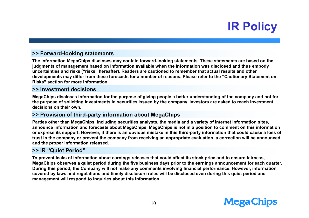### **IR Policy**

#### **>> Forward-looking statements**

**The information MegaChips discloses may contain forward-looking statements. These statements are based on the judgments of management based on information available when the information was disclosed and thus embody uncertainties and risks ("risks" hereafter). Readers are cautioned to remember that actual results and other developments may differ from these forecasts for a number of reasons. Please refer to the "Cautionary Statement on Risks" section for more information.**

#### **>> Investment decisions**

**MegaChips discloses information for the purpose of giving people a better understanding of the company and not for the purpose of soliciting investments in securities issued by the company. Investors are asked to reach investment decisions on their own.**

#### **>> Provision of third-party information about MegaChips**

**Parties other than MegaChips, including securities analysts, the media and a variety of Internet information sites, announce information and forecasts about MegaChips. MegaChips is not in a position to comment on this information or express its support. However, if there is an obvious mistake in this third-party information that could cause a loss of trust in the company or prevent the company from receiving an appropriate evaluation, a correction will be announced and the proper information released.**

#### **>> IR "Quiet Period"**

**To prevent leaks of information about earnings releases that could affect its stock price and to ensure fairness, MegaChips observes a quiet period during the five business days prior to the earnings announcement for each quarter. During this period, the Company will not make any comments involving financial performance. However, information covered by laws and regulations and timely disclosure rules will be disclosed even during this quiet period and management will respond to inquiries about this information.**